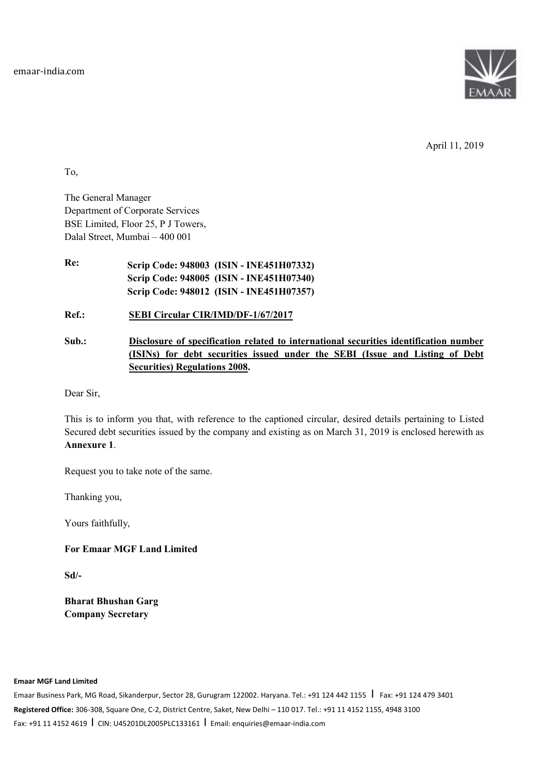

April 11, 2019

To,

The General Manager Department of Corporate Services BSE Limited, Floor 25, P J Towers, Dalal Street, Mumbai – 400 001

**Re: Scrip Code: 948003 (ISIN - INE451H07332) Scrip Code: 948005 (ISIN - INE451H07340) Scrip Code: 948012 (ISIN - INE451H07357)** 

**Ref.: SEBI Circular CIR/IMD/DF-1/67/2017** 

**Sub.: Disclosure of specification related to international securities identification number (ISINs) for debt securities issued under the SEBI (Issue and Listing of Debt Securities) Regulations 2008.** 

Dear Sir,

This is to inform you that, with reference to the captioned circular, desired details pertaining to Listed Secured debt securities issued by the company and existing as on March 31, 2019 is enclosed herewith as **Annexure 1**.

Request you to take note of the same.

Thanking you,

Yours faithfully,

**For Emaar MGF Land Limited** 

**Sd/-** 

**Bharat Bhushan Garg Company Secretary** 

## **Emaar MGF Land Limited**

Emaar Business Park, MG Road, Sikanderpur, Sector 28, Gurugram 122002. Haryana. Tel.: +91 124 442 1155 | Fax: +91 124 479 3401 **Registered Office:** 306-308, Square One, C-2, District Centre, Saket, New Delhi – 110 017. Tel.: +91 11 4152 1155, 4948 3100 Fax: +91 11 4152 4619 I CIN: U45201DL2005PLC133161 I Email: enquiries@emaar-india.com